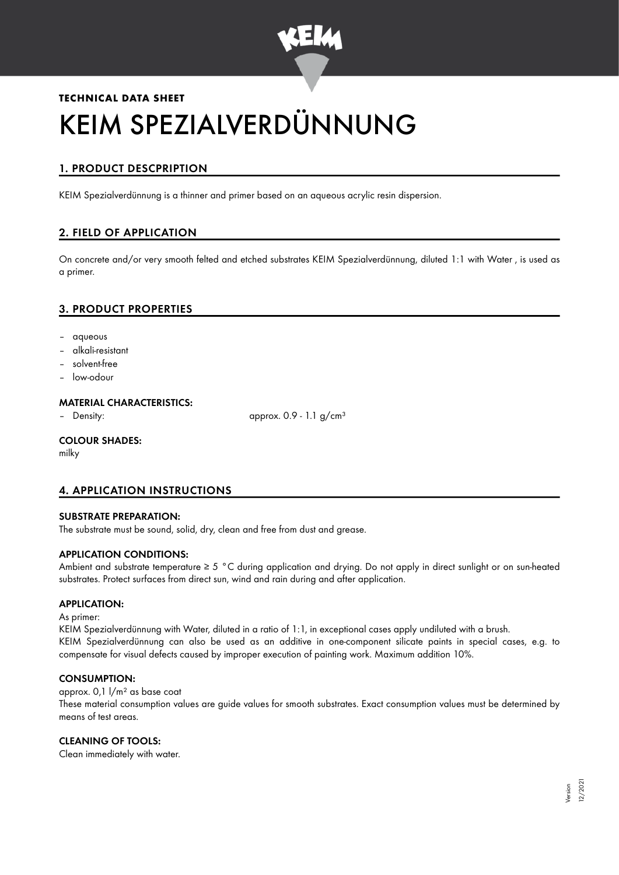

# **TECHNICAL DATA SHEET** KEIM SPEZIALVERDÜNNUNG

# 1. PRODUCT DESCPRIPTION

KEIM Spezialverdünnung is a thinner and primer based on an aqueous acrylic resin dispersion.

# 2. FIELD OF APPLICATION

On concrete and/or very smooth felted and etched substrates KEIM Spezialverdünnung, diluted 1:1 with Water , is used as a primer.

## 3. PRODUCT PROPERTIES

- aqueous
- alkali-resistant
- solvent-free
- low-odour

#### MATERIAL CHARACTERISTICS:

– Density: approx. 0.9 - 1.1 g/cm<sup>3</sup>

#### COLOUR SHADES:

milky

### 4. APPLICATION INSTRUCTIONS

#### SUBSTRATE PREPARATION:

The substrate must be sound, solid, dry, clean and free from dust and grease.

#### APPLICATION CONDITIONS:

Ambient and substrate temperature ≥ 5 °C during application and drying. Do not apply in direct sunlight or on sun-heated substrates. Protect surfaces from direct sun, wind and rain during and after application.

#### APPLICATION:

#### As primer:

KEIM Spezialverdünnung with Water, diluted in a ratio of 1:1, in exceptional cases apply undiluted with a brush. KEIM Spezialverdünnung can also be used as an additive in one-component silicate paints in special cases, e.g. to compensate for visual defects caused by improper execution of painting work. Maximum addition 10%.

#### CONSUMPTION:

approx. 0,1 l/m² as base coat These material consumption values are guide values for smooth substrates. Exact consumption values must be determined by means of test areas.

#### CLEANING OF TOOLS:

Clean immediately with water.